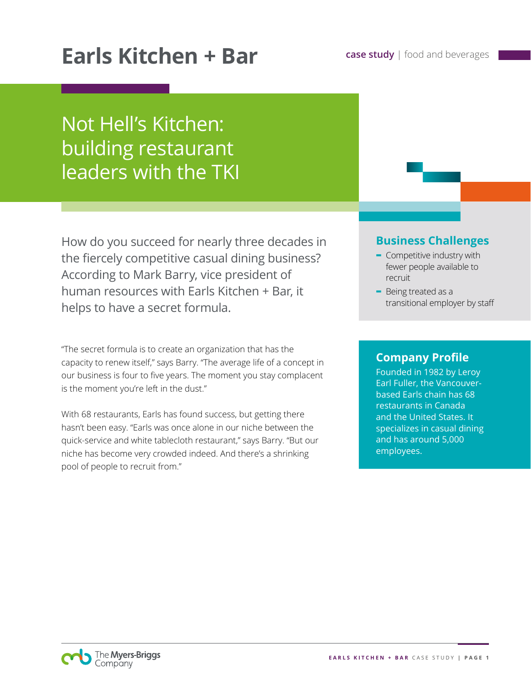# **Earls Kitchen + Bar case study** | food and beverages

# Not Hell's Kitchen: building restaurant leaders with the TKI

How do you succeed for nearly three decades in the fiercely competitive casual dining business? According to Mark Barry, vice president of human resources with Earls Kitchen + Bar, it helps to have a secret formula.

"The secret formula is to create an organization that has the capacity to renew itself," says Barry. "The average life of a concept in our business is four to five years. The moment you stay complacent is the moment you're left in the dust."

With 68 restaurants, Earls has found success, but getting there hasn't been easy. "Earls was once alone in our niche between the quick-service and white tablecloth restaurant," says Barry. "But our niche has become very crowded indeed. And there's a shrinking pool of people to recruit from."

## **Business Challenges**

- **-** Competitive industry with fewer people available to recruit
- **-** Being treated as a transitional employer by staff

### **Company Profile**

Founded in 1982 by Leroy Earl Fuller, the Vancouverbased Earls chain has 68 restaurants in Canada and the United States. It specializes in casual dining and has around 5,000 employees.

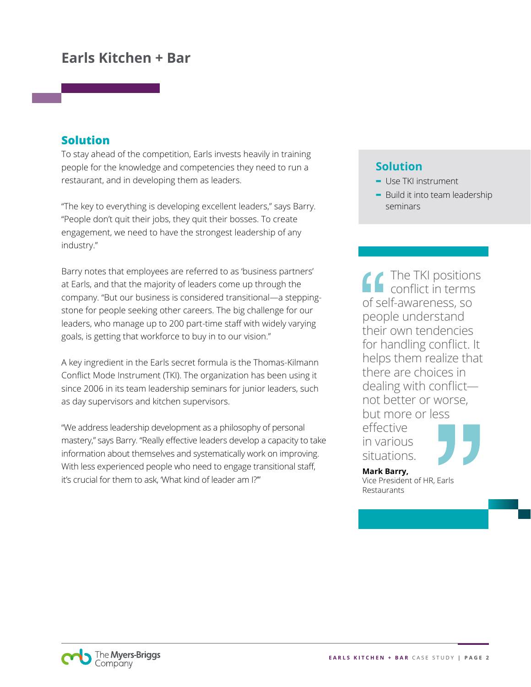## **Earls Kitchen + Bar**

### **Solution**

To stay ahead of the competition, Earls invests heavily in training people for the knowledge and competencies they need to run a restaurant, and in developing them as leaders.

"The key to everything is developing excellent leaders," says Barry. "People don't quit their jobs, they quit their bosses. To create engagement, we need to have the strongest leadership of any industry."

Barry notes that employees are referred to as 'business partners' at Earls, and that the majority of leaders come up through the company. "But our business is considered transitional—a steppingstone for people seeking other careers. The big challenge for our leaders, who manage up to 200 part-time staff with widely varying goals, is getting that workforce to buy in to our vision."

A key ingredient in the Earls secret formula is the Thomas-Kilmann Conflict Mode Instrument (TKI). The organization has been using it since 2006 in its team leadership seminars for junior leaders, such as day supervisors and kitchen supervisors.

"We address leadership development as a philosophy of personal mastery," says Barry. "Really effective leaders develop a capacity to take information about themselves and systematically work on improving. With less experienced people who need to engage transitional staff, it's crucial for them to ask, 'What kind of leader am I?'"

## **Solution**

- **-** Use TKI instrument
- **-** Build it into team leadership seminars

The TKI positions conflict in terms of self-awareness, so people understand their own tendencies for handling conflict. It helps them realize that there are choices in dealing with conflict not better or worse, but more or less effective in various situations.

**Mark Barry,**  Vice President of HR, Earls Restaurants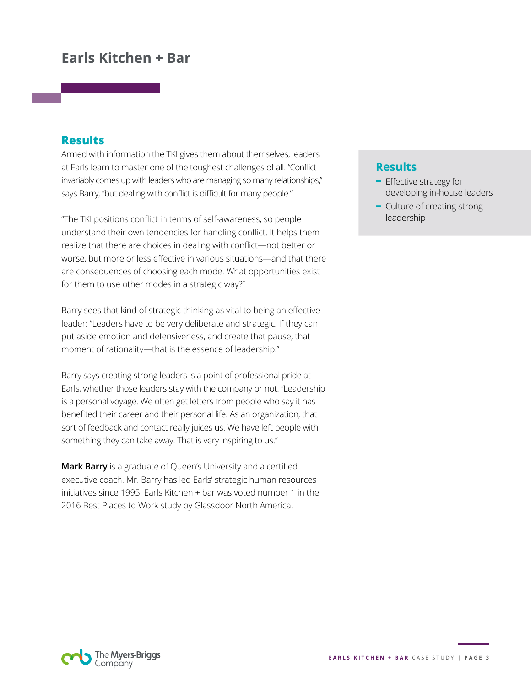## **Earls Kitchen + Bar**

### **Results**

Armed with information the TKI gives them about themselves, leaders at Earls learn to master one of the toughest challenges of all. "Conflict invariably comes up with leaders who are managing so many relationships," says Barry, "but dealing with conflict is difficult for many people."

"The TKI positions conflict in terms of self-awareness, so people understand their own tendencies for handling conflict. It helps them realize that there are choices in dealing with conflict—not better or worse, but more or less effective in various situations—and that there are consequences of choosing each mode. What opportunities exist for them to use other modes in a strategic way?"

Barry sees that kind of strategic thinking as vital to being an effective leader: "Leaders have to be very deliberate and strategic. If they can put aside emotion and defensiveness, and create that pause, that moment of rationality—that is the essence of leadership."

Barry says creating strong leaders is a point of professional pride at Earls, whether those leaders stay with the company or not. "Leadership is a personal voyage. We often get letters from people who say it has benefited their career and their personal life. As an organization, that sort of feedback and contact really juices us. We have left people with something they can take away. That is very inspiring to us."

**Mark Barry** is a graduate of Queen's University and a certified executive coach. Mr. Barry has led Earls' strategic human resources initiatives since 1995. Earls Kitchen + bar was voted number 1 in the 2016 Best Places to Work study by Glassdoor North America.

## **Results**

- **-** Effective strategy for developing in-house leaders
- **-** Culture of creating strong leadership